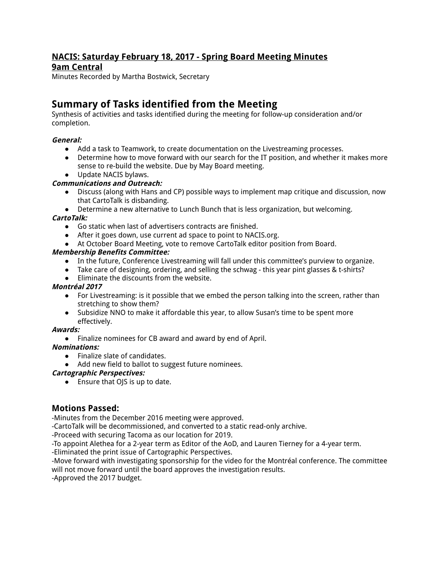# **NACIS: Saturday February 18, 2017 - Spring Board Meeting Minutes 9am Central**

Minutes Recorded by Martha Bostwick, Secretary

# **Summary of Tasks identified from the Meeting**

Synthesis of activities and tasks identified during the meeting for follow-up consideration and/or completion.

# **General:**

- Add a task to Teamwork, to create documentation on the Livestreaming processes.
- Determine how to move forward with our search for the IT position, and whether it makes more sense to re-build the website. Due by May Board meeting.
- Update NACIS bylaws.

# **Communications and Outreach:**

- Discuss (along with Hans and CP) possible ways to implement map critique and discussion, now that CartoTalk is disbanding.
- Determine a new alternative to Lunch Bunch that is less organization, but welcoming.

# **CartoTalk:**

- Go static when last of advertisers contracts are finished.
- After it goes down, use current ad space to point to NACIS.org.
- At October Board Meeting, vote to remove CartoTalk editor position from Board.

# **Membership Benefits Committee:**

- In the future, Conference Livestreaming will fall under this committee's purview to organize.
- Take care of designing, ordering, and selling the schwag this year pint glasses & t-shirts?
- Eliminate the discounts from the website.

## **Montréal 2017**

- For Livestreaming: is it possible that we embed the person talking into the screen, rather than stretching to show them?
- Subsidize NNO to make it affordable this year, to allow Susan's time to be spent more effectively.

#### **Awards:**

● Finalize nominees for CB award and award by end of April.

#### **Nominations:**

- Finalize slate of candidates.
- Add new field to ballot to suggest future nominees.

#### **Cartographic Perspectives:**

● Ensure that OJS is up to date.

# **Motions Passed:**

-Minutes from the December 2016 meeting were approved.

-CartoTalk will be decommissioned, and converted to a static read-only archive.

-Proceed with securing Tacoma as our location for 2019.

-To appoint Alethea for a 2-year term as Editor of the AoD, and Lauren Tierney for a 4-year term.

-Eliminated the print issue of Cartographic Perspectives.

-Move forward with investigating sponsorship for the video for the Montréal conference. The committee will not move forward until the board approves the investigation results.

-Approved the 2017 budget.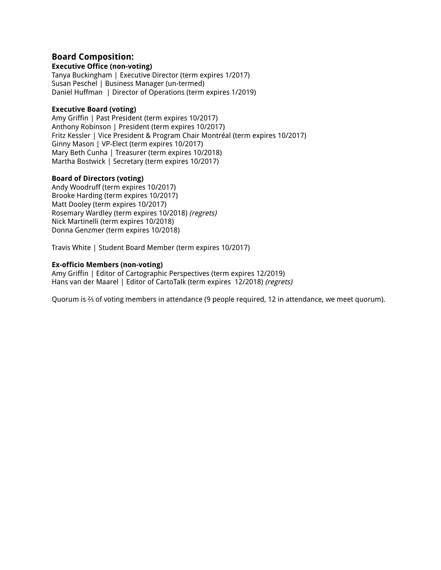# **Board Composition:**

#### **Executive Office (non-voting)**

Tanya Buckingham | Executive Director (term expires 1/2017) Susan Peschel | Business Manager (un-termed) Daniel Huffman | Director of Operations (term expires 1/2019)

#### **Executive Board (voting)**

Amy Griffin | Past President (term expires 10/2017) Anthony Robinson | President (term expires 10/2017) Fritz Kessler | Vice President & Program Chair Montréal (term expires 10/2017) Ginny Mason | VP-Elect (term expires 10/2017) Mary Beth Cunha | Treasurer (term expires 10/2018) Martha Bostwick | Secretary (term expires 10/2017)

#### **Board of Directors (voting)**

Andy Woodruff (term expires 10/2017) Brooke Harding (term expires 10/2017) Matt Dooley (term expires 10/2017) Rosemary Wardley (term expires 10/2018) (regrets) Nick Martinelli (term expires 10/2018) Donna Genzmer (term expires 10/2018)

Travis White | Student Board Member (term expires 10/2017)

#### **Ex-officio Members (non-voting)**

Amy Griffin | Editor of Cartographic Perspectives (term expires 12/2019) Hans van der Maarel | Editor of CartoTalk (term expires 12/2018) (regrets)

Quorum is ⅔ of voting members in attendance (9 people required, 12 in attendance, we meet quorum).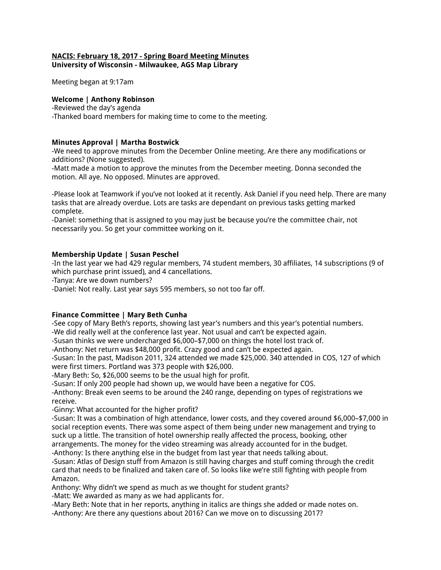#### **NACIS: February 18, 2017 - Spring Board Meeting Minutes University of Wisconsin - Milwaukee, AGS Map Library**

Meeting began at 9:17am

# **Welcome | Anthony Robinson**

-Reviewed the day's agenda -Thanked board members for making time to come to the meeting.

# **Minutes Approval | Martha Bostwick**

-We need to approve minutes from the December Online meeting. Are there any modifications or additions? (None suggested).

-Matt made a motion to approve the minutes from the December meeting. Donna seconded the motion. All aye. No opposed. Minutes are approved.

-Please look at Teamwork if you've not looked at it recently. Ask Daniel if you need help. There are many tasks that are already overdue. Lots are tasks are dependant on previous tasks getting marked complete.

-Daniel: something that is assigned to you may just be because you're the committee chair, not necessarily you. So get your committee working on it.

# **Membership Update | Susan Peschel**

-In the last year we had 429 regular members, 74 student members, 30 affiliates, 14 subscriptions (9 of which purchase print issued), and 4 cancellations.

-Tanya: Are we down numbers?

-Daniel: Not really. Last year says 595 members, so not too far off.

# **Finance Committee | Mary Beth Cunha**

-See copy of Mary Beth's reports, showing last year's numbers and this year's potential numbers.

-We did really well at the conference last year. Not usual and can't be expected again.

-Susan thinks we were undercharged \$6,000–\$7,000 on things the hotel lost track of.

-Anthony: Net return was \$48,000 profit. Crazy good and can't be expected again.

-Susan: In the past, Madison 2011, 324 attended we made \$25,000. 340 attended in COS, 127 of which were first timers. Portland was 373 people with \$26,000.

-Mary Beth: So, \$26,000 seems to be the usual high for profit.

-Susan: If only 200 people had shown up, we would have been a negative for COS.

-Anthony: Break even seems to be around the 240 range, depending on types of registrations we receive.

-Ginny: What accounted for the higher profit?

-Susan: It was a combination of high attendance, lower costs, and they covered around \$6,000–\$7,000 in social reception events. There was some aspect of them being under new management and trying to suck up a little. The transition of hotel ownership really affected the process, booking, other arrangements. The money for the video streaming was already accounted for in the budget. -Anthony: Is there anything else in the budget from last year that needs talking about.

-Susan: Atlas of Design stuff from Amazon is still having charges and stuff coming through the credit card that needs to be finalized and taken care of. So looks like we're still fighting with people from Amazon.

Anthony: Why didn't we spend as much as we thought for student grants? -Matt: We awarded as many as we had applicants for.

-Mary Beth: Note that in her reports, anything in italics are things she added or made notes on. -Anthony: Are there any questions about 2016? Can we move on to discussing 2017?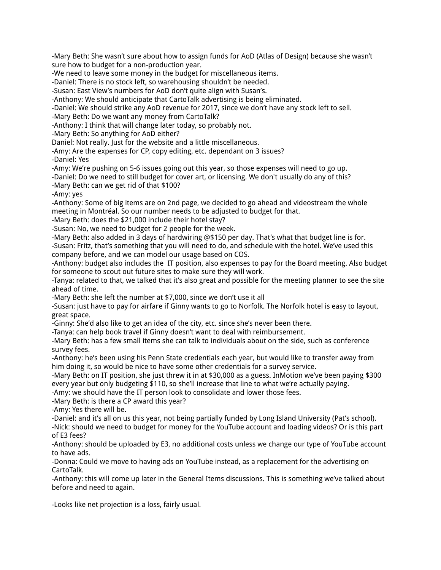-Mary Beth: She wasn't sure about how to assign funds for AoD (Atlas of Design) because she wasn't sure how to budget for a non-production year.

-We need to leave some money in the budget for miscellaneous items.

-Daniel: There is no stock left, so warehousing shouldn't be needed.

-Susan: East View's numbers for AoD don't quite align with Susan's.

-Anthony: We should anticipate that CartoTalk advertising is being eliminated.

-Daniel: We should strike any AoD revenue for 2017, since we don't have any stock left to sell.

-Mary Beth: Do we want any money from CartoTalk?

-Anthony: I think that will change later today, so probably not.

-Mary Beth: So anything for AoD either?

Daniel: Not really. Just for the website and a little miscellaneous.

-Amy: Are the expenses for CP, copy editing, etc. dependant on 3 issues?

-Daniel: Yes

-Amy: We're pushing on 5-6 issues going out this year, so those expenses will need to go up.

-Daniel: Do we need to still budget for cover art, or licensing. We don't usually do any of this?

-Mary Beth: can we get rid of that \$100?

-Amy: yes

-Anthony: Some of big items are on 2nd page, we decided to go ahead and videostream the whole meeting in Montréal. So our number needs to be adjusted to budget for that.

-Mary Beth: does the \$21,000 include their hotel stay?

-Susan: No, we need to budget for 2 people for the week.

-Mary Beth: also added in 3 days of hardwiring @\$150 per day. That's what that budget line is for. -Susan: Fritz, that's something that you will need to do, and schedule with the hotel. We've used this company before, and we can model our usage based on COS.

-Anthony: budget also includes the IT position, also expenses to pay for the Board meeting. Also budget for someone to scout out future sites to make sure they will work.

-Tanya: related to that, we talked that it's also great and possible for the meeting planner to see the site ahead of time.

-Mary Beth: she left the number at \$7,000, since we don't use it all

-Susan: just have to pay for airfare if Ginny wants to go to Norfolk. The Norfolk hotel is easy to layout, great space.

-Ginny: She'd also like to get an idea of the city, etc. since she's never been there.

-Tanya: can help book travel if Ginny doesn't want to deal with reimbursement.

-Mary Beth: has a few small items she can talk to individuals about on the side, such as conference survey fees.

-Anthony: he's been using his Penn State credentials each year, but would like to transfer away from him doing it, so would be nice to have some other credentials for a survey service.

-Mary Beth: on IT position, she just threw it in at \$30,000 as a guess. InMotion we've been paying \$300 every year but only budgeting \$110, so she'll increase that line to what we're actually paying.

-Amy: we should have the IT person look to consolidate and lower those fees.

-Mary Beth: is there a CP award this year?

-Amy: Yes there will be.

-Daniel: and it's all on us this year, not being partially funded by Long Island University (Pat's school).

-Nick: should we need to budget for money for the YouTube account and loading videos? Or is this part of E3 fees?

-Anthony: should be uploaded by E3, no additional costs unless we change our type of YouTube account to have ads.

-Donna: Could we move to having ads on YouTube instead, as a replacement for the advertising on CartoTalk.

-Anthony: this will come up later in the General Items discussions. This is something we've talked about before and need to again.

-Looks like net projection is a loss, fairly usual.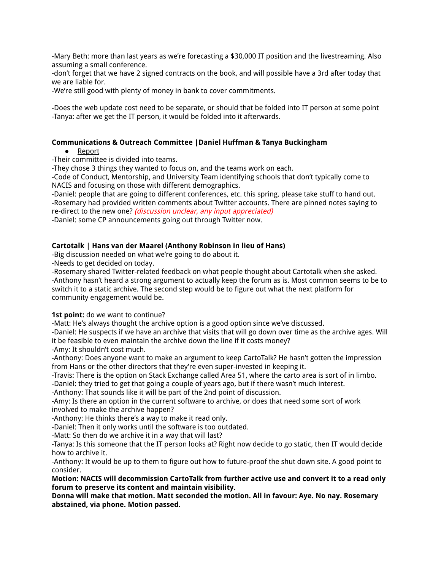-Mary Beth: more than last years as we're forecasting a \$30,000 IT position and the livestreaming. Also assuming a small conference.

-don't forget that we have 2 signed contracts on the book, and will possible have a 3rd after today that we are liable for.

-We're still good with plenty of money in bank to cover commitments.

-Does the web update cost need to be separate, or should that be folded into IT person at some point -Tanya: after we get the IT person, it would be folded into it afterwards.

#### **Communications & Outreach Committee |Daniel Huffman & Tanya Buckingham**

- Report
- -Their committee is divided into teams.

-They chose 3 things they wanted to focus on, and the teams work on each.

-Code of Conduct, Mentorship, and University Team identifying schools that don't typically come to NACIS and focusing on those with different demographics.

-Daniel: people that are going to different conferences, etc. this spring, please take stuff to hand out. -Rosemary had provided written comments about Twitter accounts. There are pinned notes saying to re-direct to the new one? (discussion unclear, any input appreciated)

-Daniel: some CP announcements going out through Twitter now.

#### **Cartotalk | Hans van der Maarel (Anthony Robinson in lieu of Hans)**

-Big discussion needed on what we're going to do about it.

-Needs to get decided on today.

-Rosemary shared Twitter-related feedback on what people thought about Cartotalk when she asked. -Anthony hasn't heard a strong argument to actually keep the forum as is. Most common seems to be to switch it to a static archive. The second step would be to figure out what the next platform for community engagement would be.

**1st point:** do we want to continue?

-Matt: He's always thought the archive option is a good option since we've discussed.

-Daniel: He suspects if we have an archive that visits that will go down over time as the archive ages. Will it be feasible to even maintain the archive down the line if it costs money?

-Amy: It shouldn't cost much.

-Anthony: Does anyone want to make an argument to keep CartoTalk? He hasn't gotten the impression from Hans or the other directors that they're even super-invested in keeping it.

-Travis: There is the option on Stack Exchange called Area 51, where the carto area is sort of in limbo.

-Daniel: they tried to get that going a couple of years ago, but if there wasn't much interest.

-Anthony: That sounds like it will be part of the 2nd point of discussion.

-Amy: Is there an option in the current software to archive, or does that need some sort of work involved to make the archive happen?

-Anthony: He thinks there's a way to make it read only.

-Daniel: Then it only works until the software is too outdated.

-Matt: So then do we archive it in a way that will last?

-Tanya: Is this someone that the IT person looks at? Right now decide to go static, then IT would decide how to archive it.

-Anthony: It would be up to them to figure out how to future-proof the shut down site. A good point to consider.

**Motion: NACIS will decommission CartoTalk from further active use and convert it to a read only forum to preserve its content and maintain visibility.**

**Donna will make that motion. Matt seconded the motion. All in favour: Aye. No nay. Rosemary abstained, via phone. Motion passed.**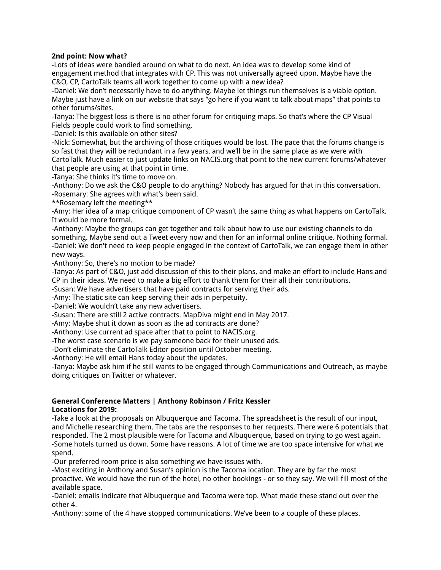#### **2nd point: Now what?**

-Lots of ideas were bandied around on what to do next. An idea was to develop some kind of engagement method that integrates with CP. This was not universally agreed upon. Maybe have the C&O, CP, CartoTalk teams all work together to come up with a new idea?

-Daniel: We don't necessarily have to do anything. Maybe let things run themselves is a viable option. Maybe just have a link on our website that says "go here if you want to talk about maps" that points to other forums/sites.

-Tanya: The biggest loss is there is no other forum for critiquing maps. So that's where the CP Visual Fields people could work to find something.

-Daniel: Is this available on other sites?

-Nick: Somewhat, but the archiving of those critiques would be lost. The pace that the forums change is so fast that they will be redundant in a few years, and we'll be in the same place as we were with CartoTalk. Much easier to just update links on NACIS.org that point to the new current forums/whatever that people are using at that point in time.

-Tanya: She thinks it's time to move on.

-Anthony: Do we ask the C&O people to do anything? Nobody has argued for that in this conversation. -Rosemary: She agrees with what's been said.

\*\*Rosemary left the meeting\*\*

-Amy: Her idea of a map critique component of CP wasn't the same thing as what happens on CartoTalk. It would be more formal.

-Anthony: Maybe the groups can get together and talk about how to use our existing channels to do something. Maybe send out a Tweet every now and then for an informal online critique. Nothing formal. -Daniel: We don't need to keep people engaged in the context of CartoTalk, we can engage them in other new ways.

-Anthony: So, there's no motion to be made?

-Tanya: As part of C&O, just add discussion of this to their plans, and make an effort to include Hans and CP in their ideas. We need to make a big effort to thank them for their all their contributions.

-Susan: We have advertisers that have paid contracts for serving their ads.

-Amy: The static site can keep serving their ads in perpetuity.

-Daniel: We wouldn't take any new advertisers.

-Susan: There are still 2 active contracts. MapDiva might end in May 2017.

-Amy: Maybe shut it down as soon as the ad contracts are done?

-Anthony: Use current ad space after that to point to NACIS.org.

-The worst case scenario is we pay someone back for their unused ads.

-Don't eliminate the CartoTalk Editor position until October meeting.

-Anthony: He will email Hans today about the updates.

-Tanya: Maybe ask him if he still wants to be engaged through Communications and Outreach, as maybe doing critiques on Twitter or whatever.

# **General Conference Matters | Anthony Robinson / Fritz Kessler**

**Locations for 2019:**

-Take a look at the proposals on Albuquerque and Tacoma. The spreadsheet is the result of our input, and Michelle researching them. The tabs are the responses to her requests. There were 6 potentials that responded. The 2 most plausible were for Tacoma and Albuquerque, based on trying to go west again. -Some hotels turned us down. Some have reasons. A lot of time we are too space intensive for what we spend.

-Our preferred room price is also something we have issues with.

-Most exciting in Anthony and Susan's opinion is the Tacoma location. They are by far the most proactive. We would have the run of the hotel, no other bookings - or so they say. We will fill most of the available space.

-Daniel: emails indicate that Albuquerque and Tacoma were top. What made these stand out over the other 4.

-Anthony: some of the 4 have stopped communications. We've been to a couple of these places.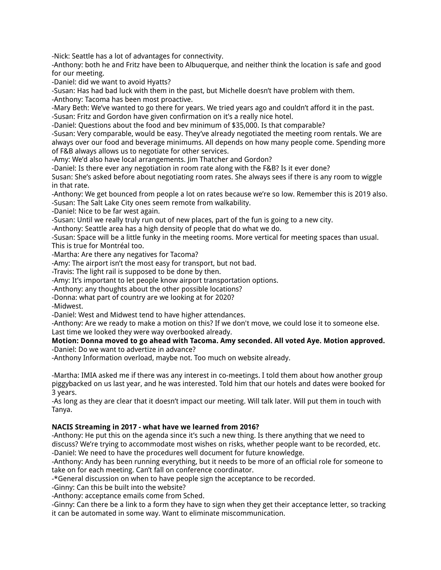-Nick: Seattle has a lot of advantages for connectivity.

-Anthony: both he and Fritz have been to Albuquerque, and neither think the location is safe and good for our meeting.

-Daniel: did we want to avoid Hyatts?

-Susan: Has had bad luck with them in the past, but Michelle doesn't have problem with them.

-Anthony: Tacoma has been most proactive.

-Mary Beth: We've wanted to go there for years. We tried years ago and couldn't afford it in the past. -Susan: Fritz and Gordon have given confirmation on it's a really nice hotel.

-Daniel: Questions about the food and bev minimum of \$35,000. Is that comparable?

-Susan: Very comparable, would be easy. They've already negotiated the meeting room rentals. We are always over our food and beverage minimums. All depends on how many people come. Spending more of F&B always allows us to negotiate for other services.

-Amy: We'd also have local arrangements. Jim Thatcher and Gordon?

-Daniel: Is there ever any negotiation in room rate along with the F&B? Is it ever done?

Susan: She's asked before about negotiating room rates. She always sees if there is any room to wiggle in that rate.

-Anthony: We get bounced from people a lot on rates because we're so low. Remember this is 2019 also. -Susan: The Salt Lake City ones seem remote from walkability.

-Daniel: Nice to be far west again.

-Susan: Until we really truly run out of new places, part of the fun is going to a new city.

-Anthony: Seattle area has a high density of people that do what we do.

-Susan: Space will be a little funky in the meeting rooms. More vertical for meeting spaces than usual. This is true for Montréal too.

-Martha: Are there any negatives for Tacoma?

-Amy: The airport isn't the most easy for transport, but not bad.

-Travis: The light rail is supposed to be done by then.

-Amy: It's important to let people know airport transportation options.

-Anthony: any thoughts about the other possible locations?

-Donna: what part of country are we looking at for 2020?

-Midwest.

-Daniel: West and Midwest tend to have higher attendances.

-Anthony: Are we ready to make a motion on this? If we don't move, we could lose it to someone else. Last time we looked they were way overbooked already.

#### **Motion: Donna moved to go ahead with Tacoma. Amy seconded. All voted Aye. Motion approved.** -Daniel: Do we want to advertize in advance?

-Anthony Information overload, maybe not. Too much on website already.

-Martha: IMIA asked me if there was any interest in co-meetings. I told them about how another group piggybacked on us last year, and he was interested. Told him that our hotels and dates were booked for 3 years.

-As long as they are clear that it doesn't impact our meeting. Will talk later. Will put them in touch with Tanya.

#### **NACIS Streaming in 2017 - what have we learned from 2016?**

-Anthony: He put this on the agenda since it's such a new thing. Is there anything that we need to discuss? We're trying to accommodate most wishes on risks, whether people want to be recorded, etc. -Daniel: We need to have the procedures well document for future knowledge.

-Anthony: Andy has been running everything, but it needs to be more of an official role for someone to take on for each meeting. Can't fall on conference coordinator.

-\*General discussion on when to have people sign the acceptance to be recorded.

-Ginny: Can this be built into the website?

-Anthony: acceptance emails come from Sched.

-Ginny: Can there be a link to a form they have to sign when they get their acceptance letter, so tracking it can be automated in some way. Want to eliminate miscommunication.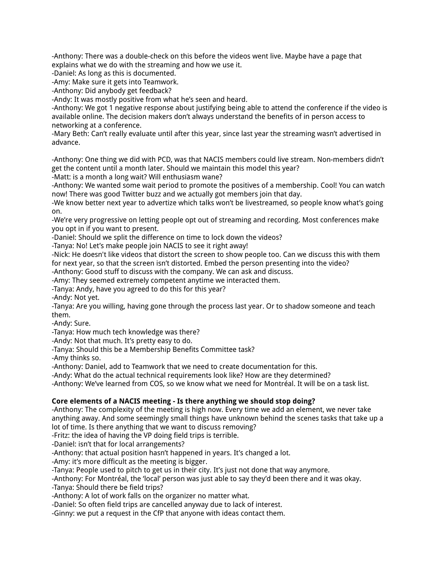-Anthony: There was a double-check on this before the videos went live. Maybe have a page that explains what we do with the streaming and how we use it.

-Daniel: As long as this is documented.

-Amy: Make sure it gets into Teamwork.

-Anthony: Did anybody get feedback?

-Andy: It was mostly positive from what he's seen and heard.

-Anthony: We got 1 negative response about justifying being able to attend the conference if the video is available online. The decision makers don't always understand the benefits of in person access to networking at a conference.

-Mary Beth: Can't really evaluate until after this year, since last year the streaming wasn't advertised in advance.

-Anthony: One thing we did with PCD, was that NACIS members could live stream. Non-members didn't get the content until a month later. Should we maintain this model this year?

-Matt: is a month a long wait? Will enthusiasm wane?

-Anthony: We wanted some wait period to promote the positives of a membership. Cool! You can watch now! There was good Twitter buzz and we actually got members join that day.

-We know better next year to advertize which talks won't be livestreamed, so people know what's going on.

-We're very progressive on letting people opt out of streaming and recording. Most conferences make you opt in if you want to present.

-Daniel: Should we split the difference on time to lock down the videos?

-Tanya: No! Let's make people join NACIS to see it right away!

-Nick: He doesn't like videos that distort the screen to show people too. Can we discuss this with them for next year, so that the screen isn't distorted. Embed the person presenting into the video?

-Anthony: Good stuff to discuss with the company. We can ask and discuss.

-Amy: They seemed extremely competent anytime we interacted them.

-Tanya: Andy, have you agreed to do this for this year?

-Andy: Not yet.

-Tanya: Are you willing, having gone through the process last year. Or to shadow someone and teach them.

-Andy: Sure.

-Tanya: How much tech knowledge was there?

-Andy: Not that much. It's pretty easy to do.

-Tanya: Should this be a Membership Benefits Committee task?

-Amy thinks so.

-Anthony: Daniel, add to Teamwork that we need to create documentation for this.

-Andy: What do the actual technical requirements look like? How are they determined?

-Anthony: We've learned from COS, so we know what we need for Montréal. It will be on a task list.

#### **Core elements of a NACIS meeting - Is there anything we should stop doing?**

-Anthony: The complexity of the meeting is high now. Every time we add an element, we never take anything away. And some seemingly small things have unknown behind the scenes tasks that take up a lot of time. Is there anything that we want to discuss removing?

-Fritz: the idea of having the VP doing field trips is terrible.

-Daniel: isn't that for local arrangements?

-Anthony: that actual position hasn't happened in years. It's changed a lot.

-Amy: it's more difficult as the meeting is bigger.

-Tanya: People used to pitch to get us in their city. It's just not done that way anymore.

-Anthony: For Montréal, the 'local' person was just able to say they'd been there and it was okay.

-Tanya: Should there be field trips?

-Anthony: A lot of work falls on the organizer no matter what.

-Daniel: So often field trips are cancelled anyway due to lack of interest.

-Ginny: we put a request in the CfP that anyone with ideas contact them.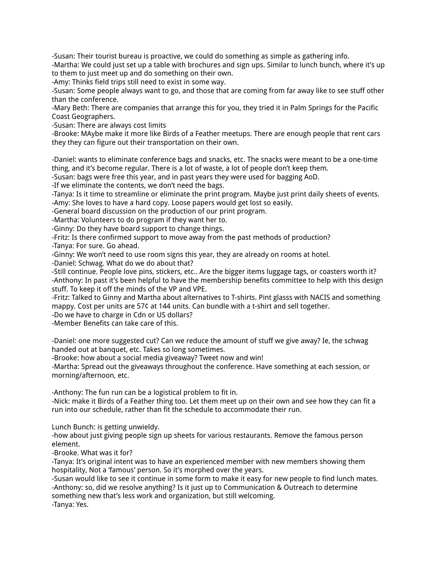-Susan: Their tourist bureau is proactive, we could do something as simple as gathering info.

-Martha: We could just set up a table with brochures and sign ups. Similar to lunch bunch, where it's up to them to just meet up and do something on their own.

-Amy: Thinks field trips still need to exist in some way.

-Susan: Some people always want to go, and those that are coming from far away like to see stuff other than the conference.

-Mary Beth: There are companies that arrange this for you, they tried it in Palm Springs for the Pacific Coast Geographers.

-Susan: There are always cost limits

-Brooke: MAybe make it more like Birds of a Feather meetups. There are enough people that rent cars they they can figure out their transportation on their own.

-Daniel: wants to eliminate conference bags and snacks, etc. The snacks were meant to be a one-time thing, and it's become regular. There is a lot of waste, a lot of people don't keep them.

-Susan: bags were free this year, and in past years they were used for bagging AoD.

-If we eliminate the contents, we don't need the bags.

-Tanya: Is it time to streamline or eliminate the print program. Maybe just print daily sheets of events. -Amy: She loves to have a hard copy. Loose papers would get lost so easily.

-General board discussion on the production of our print program.

-Martha: Volunteers to do program if they want her to.

-Ginny: Do they have board support to change things.

-Fritz: Is there confirmed support to move away from the past methods of production?

-Tanya: For sure. Go ahead.

-Ginny: We won't need to use room signs this year, they are already on rooms at hotel.

-Daniel: Schwag. What do we do about that?

-Still continue. People love pins, stickers, etc.. Are the bigger items luggage tags, or coasters worth it? -Anthony: In past it's been helpful to have the membership benefits committee to help with this design stuff. To keep it off the minds of the VP and VPE.

-Fritz: Talked to Ginny and Martha about alternatives to T-shirts. Pint glasss with NACIS and something mappy. Cost per units are 57¢ at 144 units. Can bundle with a t-shirt and sell together.

-Do we have to charge in Cdn or US dollars?

-Member Benefits can take care of this.

-Daniel: one more suggested cut? Can we reduce the amount of stuff we give away? Ie, the schwag handed out at banquet, etc. Takes so long sometimes.

-Brooke: how about a social media giveaway? Tweet now and win!

-Martha: Spread out the giveaways throughout the conference. Have something at each session, or morning/afternoon, etc.

-Anthony: The fun run can be a logistical problem to fit in.

-Nick: make it Birds of a Feather thing too. Let them meet up on their own and see how they can fit a run into our schedule, rather than fit the schedule to accommodate their run.

Lunch Bunch: is getting unwieldy.

-how about just giving people sign up sheets for various restaurants. Remove the famous person element.

-Brooke. What was it for?

-Tanya: It's original intent was to have an experienced member with new members showing them hospitality, Not a 'famous' person. So it's morphed over the years.

-Susan would like to see it continue in some form to make it easy for new people to find lunch mates. -Anthony: so, did we resolve anything? Is it just up to Communication & Outreach to determine something new that's less work and organization, but still welcoming. -Tanya: Yes.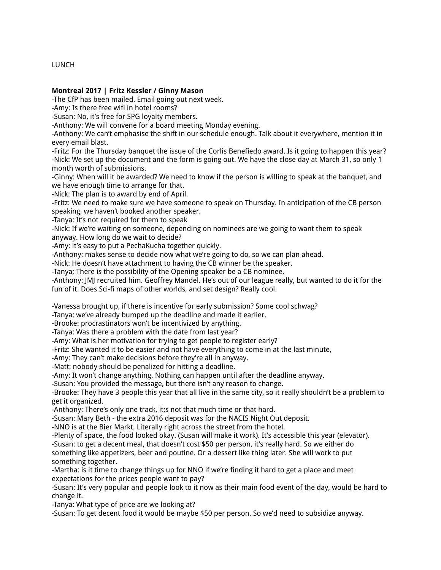# LUNCH

# **Montreal 2017 | Fritz Kessler / Ginny Mason**

-The CfP has been mailed. Email going out next week.

-Amy: Is there free wifi in hotel rooms?

-Susan: No, it's free for SPG loyalty members.

-Anthony: We will convene for a board meeting Monday evening.

-Anthony: We can't emphasise the shift in our schedule enough. Talk about it everywhere, mention it in every email blast.

-Fritz: For the Thursday banquet the issue of the Corlis Benefiedo award. Is it going to happen this year? -Nick: We set up the document and the form is going out. We have the close day at March 31, so only 1 month worth of submissions.

-Ginny: When will it be awarded? We need to know if the person is willing to speak at the banquet, and we have enough time to arrange for that.

-Nick: The plan is to award by end of April.

-Fritz: We need to make sure we have someone to speak on Thursday. In anticipation of the CB person speaking, we haven't booked another speaker.

-Tanya: It's not required for them to speak

-Nick: If we're waiting on someone, depending on nominees are we going to want them to speak anyway. How long do we wait to decide?

-Amy: it's easy to put a PechaKucha together quickly.

-Anthony: makes sense to decide now what we're going to do, so we can plan ahead.

-Nick: He doesn't have attachment to having the CB winner be the speaker.

-Tanya; There is the possibility of the Opening speaker be a CB nominee.

-Anthony: JMJ recruited him. Geoffrey Mandel. He's out of our league really, but wanted to do it for the fun of it. Does Sci-fi maps of other worlds, and set design? Really cool.

-Vanessa brought up, if there is incentive for early submission? Some cool schwag?

-Tanya: we've already bumped up the deadline and made it earlier.

-Brooke: procrastinators won't be incentivized by anything.

-Tanya: Was there a problem with the date from last year?

-Amy: What is her motivation for trying to get people to register early?

-Fritz: She wanted it to be easier and not have everything to come in at the last minute,

-Amy: They can't make decisions before they're all in anyway.

-Matt: nobody should be penalized for hitting a deadline.

-Amy: It won't change anything. Nothing can happen until after the deadline anyway.

-Susan: You provided the message, but there isn't any reason to change.

-Brooke: They have 3 people this year that all live in the same city, so it really shouldn't be a problem to get it organized.

-Anthony: There's only one track, it;s not that much time or that hard.

-Susan: Mary Beth - the extra 2016 deposit was for the NACIS Night Out deposit.

-NNO is at the Bier Markt. Literally right across the street from the hotel.

-Plenty of space, the food looked okay. (Susan will make it work). It's accessible this year (elevator).

-Susan: to get a decent meal, that doesn't cost \$50 per person, it's really hard. So we either do something like appetizers, beer and poutine. Or a dessert like thing later. She will work to put something together.

-Martha: is it time to change things up for NNO if we're finding it hard to get a place and meet expectations for the prices people want to pay?

-Susan: It's very popular and people look to it now as their main food event of the day, would be hard to change it.

-Tanya: What type of price are we looking at?

-Susan: To get decent food it would be maybe \$50 per person. So we'd need to subsidize anyway.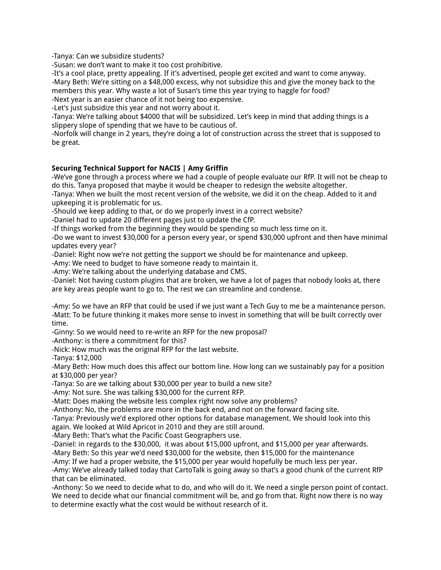-Tanya: Can we subsidize students?

-Susan: we don't want to make it too cost prohibitive.

-It's a cool place, pretty appealing. If it's advertised, people get excited and want to come anyway. -Mary Beth: We're sitting on a \$48,000 excess, why not subsidize this and give the money back to the members this year. Why waste a lot of Susan's time this year trying to haggle for food?

-Next year is an easier chance of it not being too expensive.

-Let's just subsidize this year and not worry about it.

-Tanya: We're talking about \$4000 that will be subsidized. Let's keep in mind that adding things is a slippery slope of spending that we have to be cautious of.

-Norfolk will change in 2 years, they're doing a lot of construction across the street that is supposed to be great.

# **Securing Technical Support for NACIS | Amy Griffin**

-We've gone through a process where we had a couple of people evaluate our RfP. It will not be cheap to do this. Tanya proposed that maybe it would be cheaper to redesign the website altogether.

-Tanya: When we built the most recent version of the website, we did it on the cheap. Added to it and upkeeping it is problematic for us.

-Should we keep adding to that, or do we properly invest in a correct website?

-Daniel had to update 20 different pages just to update the CfP.

-If things worked from the beginning they would be spending so much less time on it.

-Do we want to invest \$30,000 for a person every year, or spend \$30,000 upfront and then have minimal updates every year?

-Daniel: Right now we're not getting the support we should be for maintenance and upkeep.

-Amy: We need to budget to have someone ready to maintain it.

-Amy: We're talking about the underlying database and CMS.

-Daniel: Not having custom plugins that are broken, we have a lot of pages that nobody looks at, there are key areas people want to go to. The rest we can streamline and condense.

-Amy: So we have an RFP that could be used if we just want a Tech Guy to me be a maintenance person. -Matt: To be future thinking it makes more sense to invest in something that will be built correctly over time.

-Ginny: So we would need to re-write an RFP for the new proposal?

-Anthony: is there a commitment for this?

-Nick: How much was the original RFP for the last website.

-Tanya: \$12,000

-Mary Beth: How much does this affect our bottom line. How long can we sustainably pay for a position at \$30,000 per year?

-Tanya: So are we talking about \$30,000 per year to build a new site?

-Amy: Not sure. She was talking \$30,000 for the current RFP.

-Matt: Does making the website less complex right now solve any problems?

-Anthony: No, the problems are more in the back end, and not on the forward facing site.

-Tanya: Previously we'd explored other options for database management. We should look into this

again. We looked at Wild Apricot in 2010 and they are still around.

-Mary Beth: That's what the Pacific Coast Geographers use.

-Daniel: in regards to the \$30,000, it was about \$15,000 upfront, and \$15,000 per year afterwards.

-Mary Beth: So this year we'd need \$30,000 for the website, then \$15,000 for the maintenance

-Amy: If we had a proper website, the \$15,000 per year would hopefully be much less per year.

-Amy: We've already talked today that CartoTalk is going away so that's a good chunk of the current RfP that can be eliminated.

-Anthony: So we need to decide what to do, and who will do it. We need a single person point of contact. We need to decide what our financial commitment will be, and go from that. Right now there is no way to determine exactly what the cost would be without research of it.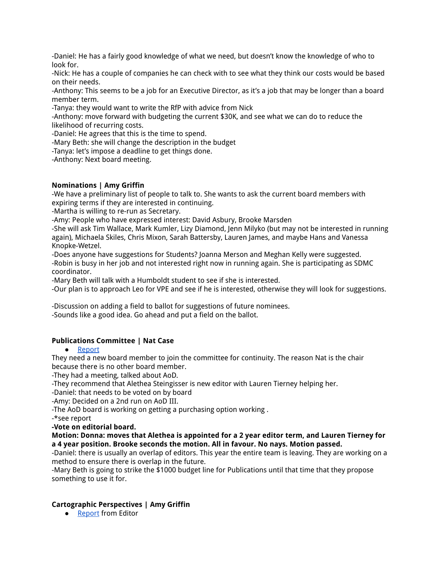-Daniel: He has a fairly good knowledge of what we need, but doesn't know the knowledge of who to look for.

-Nick: He has a couple of companies he can check with to see what they think our costs would be based on their needs.

-Anthony: This seems to be a job for an Executive Director, as it's a job that may be longer than a board member term.

-Tanya: they would want to write the RfP with advice from Nick

-Anthony: move forward with budgeting the current \$30K, and see what we can do to reduce the likelihood of recurring costs.

-Daniel: He agrees that this is the time to spend.

-Mary Beth: she will change the description in the budget

-Tanya: let's impose a deadline to get things done.

-Anthony: Next board meeting.

#### **Nominations | Amy Griffin**

-We have a preliminary list of people to talk to. She wants to ask the current board members with expiring terms if they are interested in continuing.

-Martha is willing to re-run as Secretary.

-Amy: People who have expressed interest: David Asbury, Brooke Marsden

-She will ask Tim Wallace, Mark Kumler, Lizy Diamond, Jenn Milyko (but may not be interested in running again), Michaela Skiles, Chris Mixon, Sarah Battersby, Lauren James, and maybe Hans and Vanessa Knopke-Wetzel.

-Does anyone have suggestions for Students? Joanna Merson and Meghan Kelly were suggested. -Robin is busy in her job and not interested right now in running again. She is participating as SDMC coordinator.

-Mary Beth will talk with a Humboldt student to see if she is interested.

-Our plan is to approach Leo for VPE and see if he is interested, otherwise they will look for suggestions.

-Discussion on adding a field to ballot for suggestions of future nominees. -Sounds like a good idea. Go ahead and put a field on the ballot.

#### **Publications Committee | Nat Case**

● Report

They need a new board member to join the committee for continuity. The reason Nat is the chair because there is no other board member.

-They had a meeting, talked about AoD.

-They recommend that Alethea Steingisser is new editor with Lauren Tierney helping her.

-Daniel: that needs to be voted on by board

-Amy: Decided on a 2nd run on AoD III.

-The AoD board is working on getting a purchasing option working .

-\*see report

#### **-Vote on editorial board.**

#### **Motion: Donna: moves that Alethea is appointed for a 2 year editor term, and Lauren Tierney for a 4 year position. Brooke seconds the motion. All in favour. No nays. Motion passed.**

-Daniel: there is usually an overlap of editors. This year the entire team is leaving. They are working on a method to ensure there is overlap in the future.

-Mary Beth is going to strike the \$1000 budget line for Publications until that time that they propose something to use it for.

#### **Cartographic Perspectives | Amy Griffin**

● Report from Editor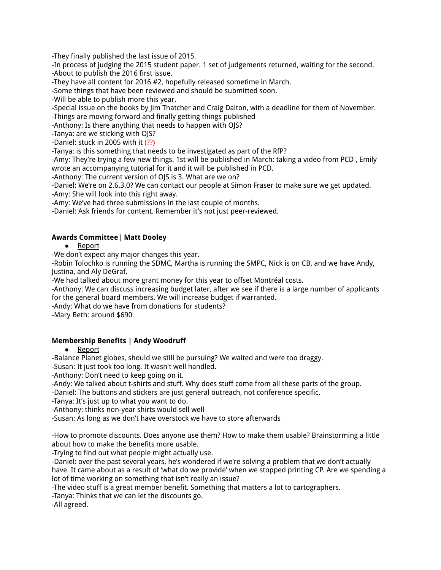-They finally published the last issue of 2015.

-In process of judging the 2015 student paper. 1 set of judgements returned, waiting for the second. -About to publish the 2016 first issue.

-They have all content for 2016 #2, hopefully released sometime in March.

-Some things that have been reviewed and should be submitted soon.

-Will be able to publish more this year.

-Special issue on the books by Jim Thatcher and Craig Dalton, with a deadline for them of November.

-Things are moving forward and finally getting things published

-Anthony: Is there anything that needs to happen with OJS?

-Tanya: are we sticking with OJS?

-Daniel: stuck in 2005 with it (??)

-Tanya: is this something that needs to be investigated as part of the RfP?

-Amy: They're trying a few new things. 1st will be published in March: taking a video from PCD , Emily wrote an accompanying tutorial for it and it will be published in PCD.

-Anthony: The current version of OJS is 3. What are we on?

-Daniel: We're on 2.6.3.0? We can contact our people at Simon Fraser to make sure we get updated.

-Amy: She will look into this right away.

-Amy: We've had three submissions in the last couple of months.

-Daniel: Ask friends for content. Remember it's not just peer-reviewed.

# **Awards Committee| Matt Dooley**

#### ● Report

-We don't expect any major changes this year.

-Robin Tolochko is running the SDMC, Martha is running the SMPC, Nick is on CB, and we have Andy, Justina, and Aly DeGraf.

-We had talked about more grant money for this year to offset Montréal costs.

-Anthony: We can discuss increasing budget later, after we see if there is a large number of applicants for the general board members. We will increase budget if warranted.

-Andy: What do we have from donations for students?

-Mary Beth: around \$690.

# **Membership Benefits | Andy Woodruff**

● Report

-Balance Planet globes, should we still be pursuing? We waited and were too draggy.

-Susan: It just took too long. It wasn't well handled.

-Anthony: Don't need to keep going on it.

-Andy: We talked about t-shirts and stuff. Why does stuff come from all these parts of the group.

-Daniel: The buttons and stickers are just general outreach, not conference specific.

-Tanya: It's just up to what you want to do.

-Anthony: thinks non-year shirts would sell well

-Susan: As long as we don't have overstock we have to store afterwards

-How to promote discounts. Does anyone use them? How to make them usable? Brainstorming a little about how to make the benefits more usable.

-Trying to find out what people might actually use.

-Daniel: over the past several years, he's wondered if we're solving a problem that we don't actually have. It came about as a result of 'what do we provide' when we stopped printing CP. Are we spending a lot of time working on something that isn't really an issue?

-The video stuff is a great member benefit. Something that matters a lot to cartographers.

-Tanya: Thinks that we can let the discounts go.

-All agreed.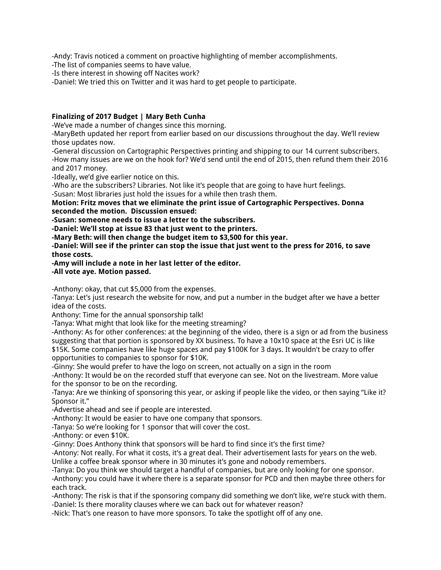-Andy: Travis noticed a comment on proactive highlighting of member accomplishments.

-The list of companies seems to have value.

-Is there interest in showing off Nacites work?

-Daniel: We tried this on Twitter and it was hard to get people to participate.

#### **Finalizing of 2017 Budget | Mary Beth Cunha**

-We've made a number of changes since this morning.

-MaryBeth updated her report from earlier based on our discussions throughout the day. We'll review those updates now.

-General discussion on Cartographic Perspectives printing and shipping to our 14 current subscribers. -How many issues are we on the hook for? We'd send until the end of 2015, then refund them their 2016 and 2017 money.

-Ideally, we'd give earlier notice on this.

-Who are the subscribers? Libraries. Not like it's people that are going to have hurt feelings.

-Susan: Most libraries just hold the issues for a while then trash them.

#### **Motion: Fritz moves that we eliminate the print issue of Cartographic Perspectives. Donna seconded the motion. Discussion ensued:**

**-Susan: someone needs to issue a letter to the subscribers.**

**-Daniel: We'll stop at issue 83 that just went to the printers.**

**-Mary Beth: will then change the budget item to \$3,500 for this year.**

-Daniel: Will see if the printer can stop the issue that just went to the press for 2016, to save **those costs.**

# **-Amy will include a note in her last letter of the editor.**

**-All vote aye. Motion passed.**

-Anthony: okay, that cut \$5,000 from the expenses.

-Tanya: Let's just research the website for now, and put a number in the budget after we have a better idea of the costs.

Anthony: Time for the annual sponsorship talk!

-Tanya: What might that look like for the meeting streaming?

-Anthony: As for other conferences: at the beginning of the video, there is a sign or ad from the business suggesting that that portion is sponsored by XX business. To have a 10x10 space at the Esri UC is like \$15K. Some companies have like huge spaces and pay \$100K for 3 days. It wouldn't be crazy to offer opportunities to companies to sponsor for \$10K.

-Ginny: She would prefer to have the logo on screen, not actually on a sign in the room

-Anthony: It would be on the recorded stuff that everyone can see. Not on the livestream. More value for the sponsor to be on the recording.

-Tanya: Are we thinking of sponsoring this year, or asking if people like the video, or then saying "Like it? Sponsor it."

-Advertise ahead and see if people are interested.

-Anthony: It would be easier to have one company that sponsors.

-Tanya: So we're looking for 1 sponsor that will cover the cost.

-Anthony: or even \$10K.

-Ginny: Does Anthony think that sponsors will be hard to find since it's the first time?

-Antony: Not really. For what it costs, it's a great deal. Their advertisement lasts for years on the web. Unlike a coffee break sponsor where in 30 minutes it's gone and nobody remembers.

-Tanya: Do you think we should target a handful of companies, but are only looking for one sponsor.

-Anthony: you could have it where there is a separate sponsor for PCD and then maybe three others for each track.

-Anthony: The risk is that if the sponsoring company did something we don't like, we're stuck with them. -Daniel: Is there morality clauses where we can back out for whatever reason?

-Nick: That's one reason to have more sponsors. To take the spotlight off of any one.